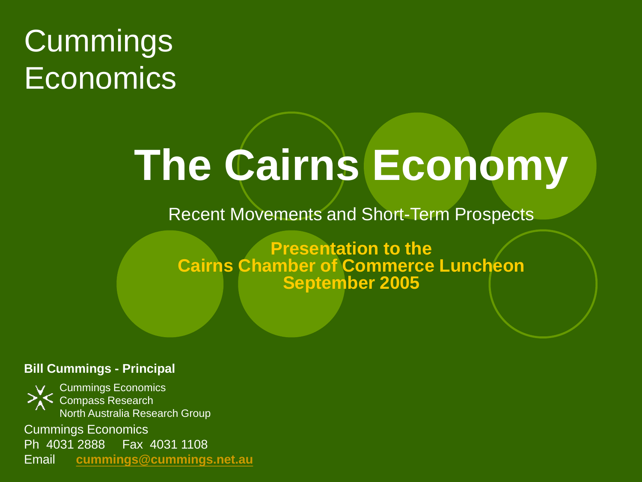#### Cummings **Economics**

# **The Cairns Economy**

Recent Movements and Short-Term Prospects

**Presentation to the Cairns Chamber of Commerce Luncheon September 2005**

#### **Bill Cummings - Principal**

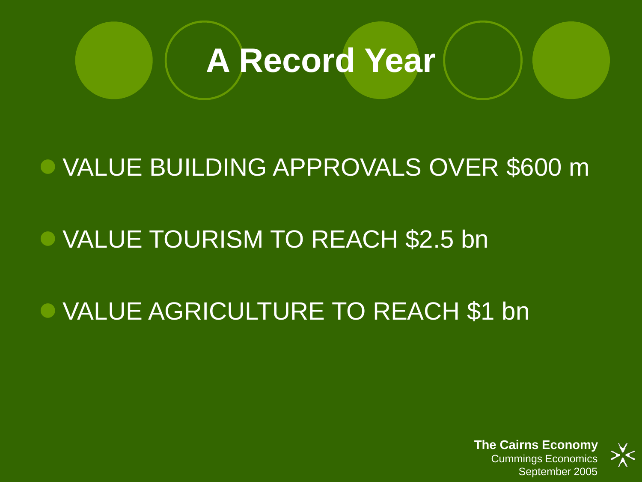

#### VALUE BUILDING APPROVALS OVER \$600 m

#### VALUE TOURISM TO REACH \$2.5 bn

#### VALUE AGRICULTURE TO REACH \$1 bn

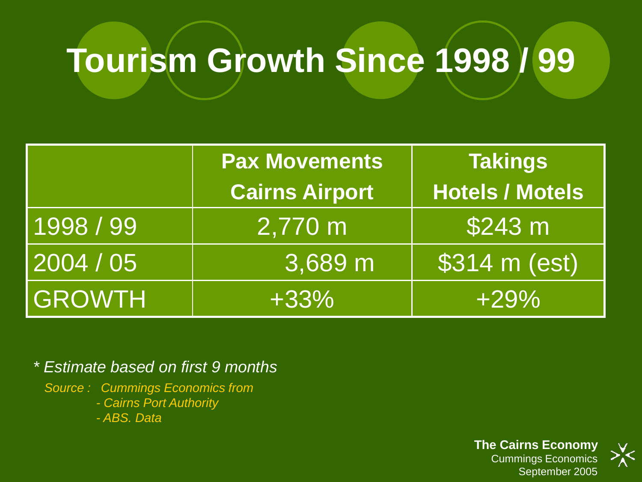## **Tourism Growth Since 1998 / 99**

|               | <b>Pax Movements</b>  | <b>Takings</b>         |
|---------------|-----------------------|------------------------|
|               | <b>Cairns Airport</b> | Hotels / Motels        |
| 1998 / 99     | 2,770 m               | \$243 m                |
| 2004 / 05     | 3,689 m               | $\sqrt{\$314 m (est)}$ |
| <b>GROWTH</b> | $+33%$                | $+29%$                 |

*\* Estimate based on first 9 months*

*Source : Cummings Economics from*

*- Cairns Port Authority*

*- ABS. Data*

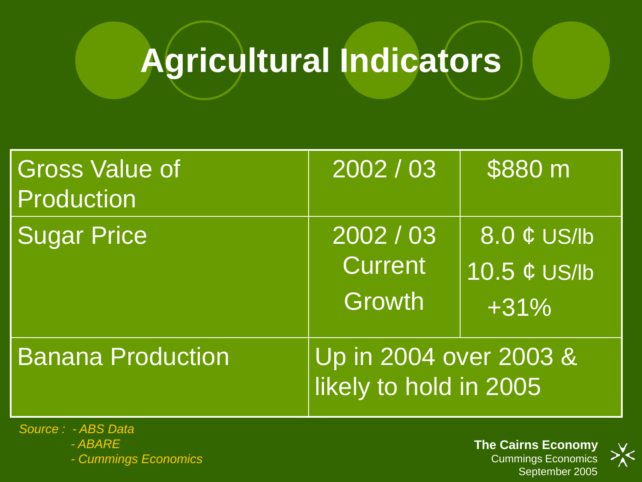## **Agricultural Indicators**

| <b>Gross Value of</b><br><b>Production</b> | 2002 / 03                                        | \$880 m                                                       |
|--------------------------------------------|--------------------------------------------------|---------------------------------------------------------------|
| <b>Sugar Price</b>                         | 2002 / 03<br><b>Current</b><br>Growth            | $8.0 \notin US/b$<br>$\overline{10.5 \notin US/IB}$<br>$+31%$ |
| <b>Banana Production</b>                   | Up in 2004 over 2003 &<br>likely to hold in 2005 |                                                               |

*Source : - ABS Data - ABARE*

*- Cummings Economics*

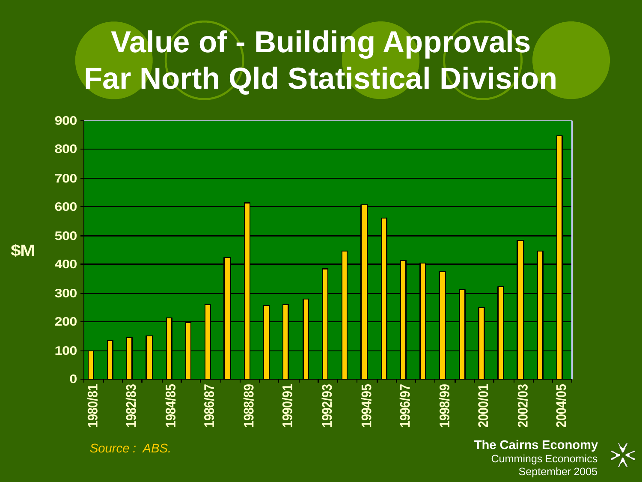#### **Value of - Building Approvals Far North Qld Statistical Division**



Cummings Economics September 2005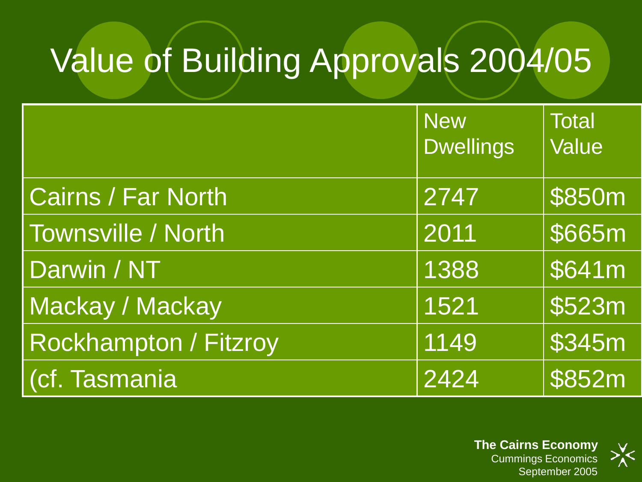## Value of Building Approvals 2004/05

|                           | <b>New</b><br><b>Dwellings</b> | <b>Total</b><br>Value |
|---------------------------|--------------------------------|-----------------------|
| <b>Cairns / Far North</b> | 2747                           | \$850m                |
| <b>Townsville / North</b> | 2011                           | \$665m                |
| Darwin / NT               | 1388                           | \$641m                |
| Mackay / Mackay           | 1521                           | \$523m                |
| Rockhampton / Fitzroy     | 1149                           | \$345m                |
| (cf. Tasmania             | 2424                           | \$852m                |

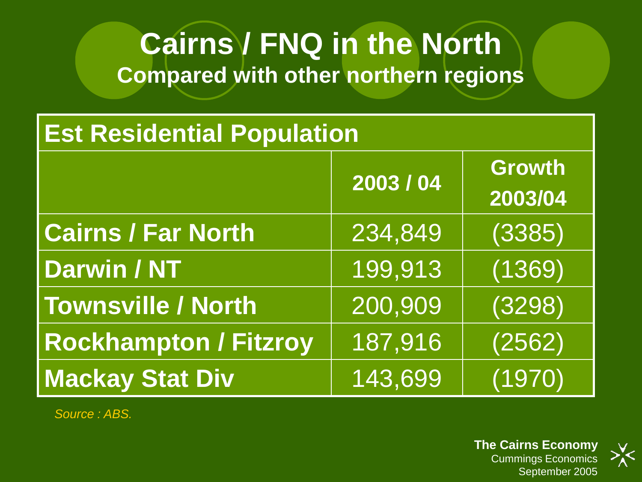#### **Cairns / FNQ in the North Compared with other northern regions**

#### **Est Residential Population**

|                              | 2003/04 | <b>Growth</b><br>2003/04 |
|------------------------------|---------|--------------------------|
| <b>Cairns / Far North</b>    | 234,849 | (3385)                   |
| <b>Darwin / NT</b>           | 199,913 | (1369)                   |
| <b>Townsville / North</b>    | 200,909 | (3298)                   |
| <b>Rockhampton / Fitzroy</b> | 187,916 | (2562)                   |
| <b>Mackay Stat Div</b>       | 143,699 | (1970)                   |

*Source : ABS.*

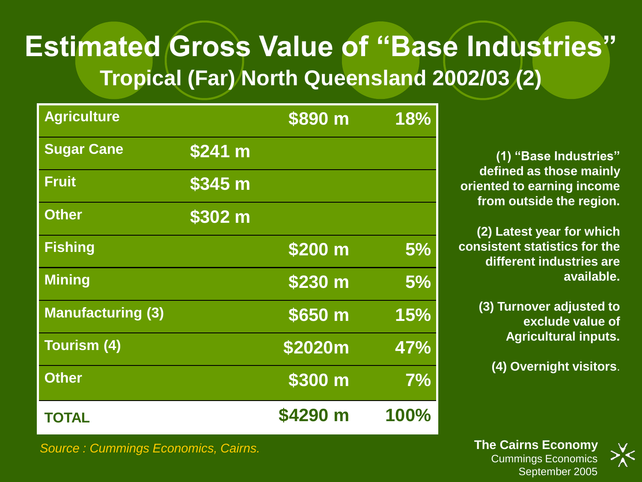#### **Estimated Gross Value of "Base Industries" Tropical (Far) North Queensland 2002/03 (2)**

| <b>Agriculture</b>       |         | \$890 m  | 18%  |
|--------------------------|---------|----------|------|
| <b>Sugar Cane</b>        | \$241 m |          |      |
| <b>Fruit</b>             | \$345 m |          |      |
| <b>Other</b>             | \$302 m |          |      |
| <b>Fishing</b>           |         | \$200 m  | 5%   |
| <b>Mining</b>            |         | \$230 m  | 5%   |
| <b>Manufacturing (3)</b> |         | \$650 m  | 15%  |
| Tourism (4)              |         | \$2020m  | 47%  |
| <b>Other</b>             |         | \$300 m  | 7%   |
| <b>TOTAL</b>             |         | \$4290 m | 100% |

**(1) "Base Industries" defined as those mainly oriented to earning income from outside the region.**

**(2) Latest year for which consistent statistics for the different industries are available.**

> **(3) Turnover adjusted to exclude value of Agricultural inputs.**

**(4) Overnight visitors**.

**The Cairns Economy** Cummings Economics September 2005



*Source : Cummings Economics, Cairns.*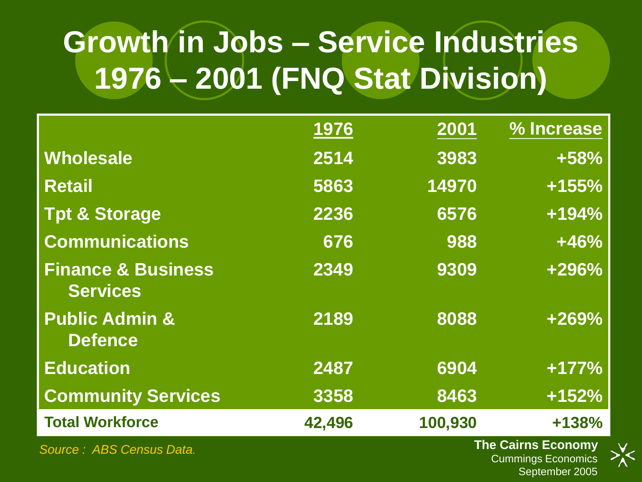#### **Growth in Jobs – Service Industries 1976 – 2001 (FNQ Stat Division)**

|                                                  | 1976   | 2001    | % Increase                |
|--------------------------------------------------|--------|---------|---------------------------|
| Wholesale                                        | 2514   | 3983    | +58%                      |
| <b>Retail</b>                                    | 5863   | 14970   | $+155%$                   |
| <b>Tpt &amp; Storage</b>                         | 2236   | 6576    | $+194%$                   |
| <b>Communications</b>                            | 676    | 988     | $+46%$                    |
| <b>Finance &amp; Business</b><br><b>Services</b> | 2349   | 9309    | +296%                     |
| <b>Public Admin &amp;</b><br><b>Defence</b>      | 2189   | 8088    | +269%                     |
| <b>Education</b>                                 | 2487   | 6904    | $+177%$                   |
| <b>Community Services</b>                        | 3358   | 8463    | $+152%$                   |
| <b>Total Workforce</b>                           | 42,496 | 100,930 | +138%                     |
| Source: ABS Census Data.                         |        |         | <b>The Cairns Economy</b> |

Cummings Economics September 2005

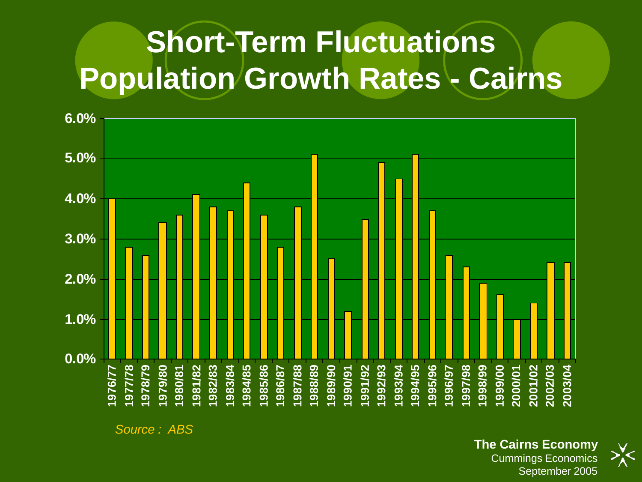#### **Short-Term Fluctuations Population Growth Rates - Cairns**



*Source : ABS*



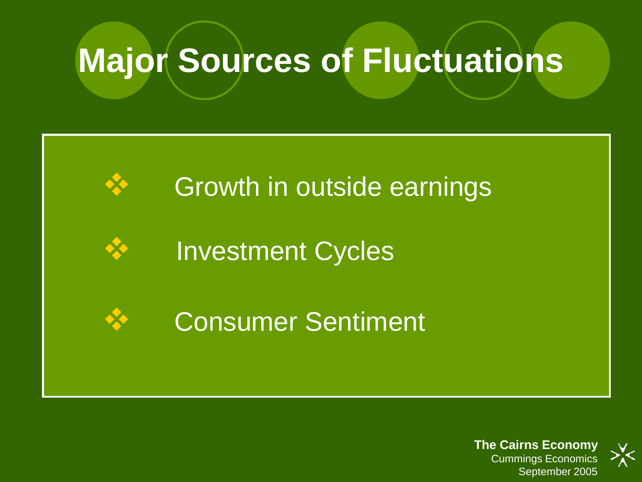#### **Major Sources of Fluctuations**

#### Growth in outside earnings

Investment Cycles

Consumer Sentiment

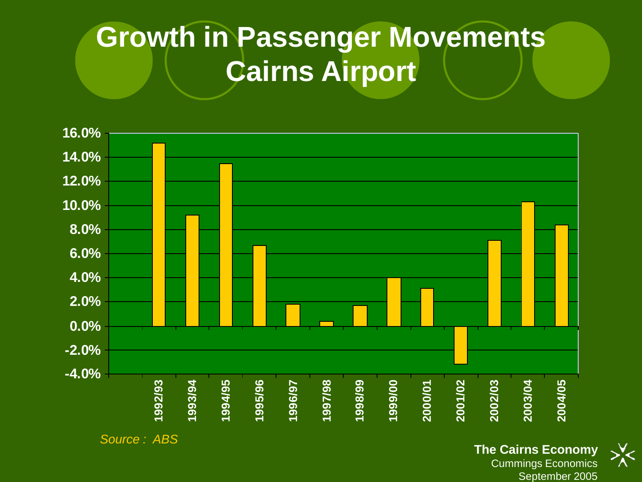#### **Growth in Passenger Movements Cairns Airport**



*Source : ABS*

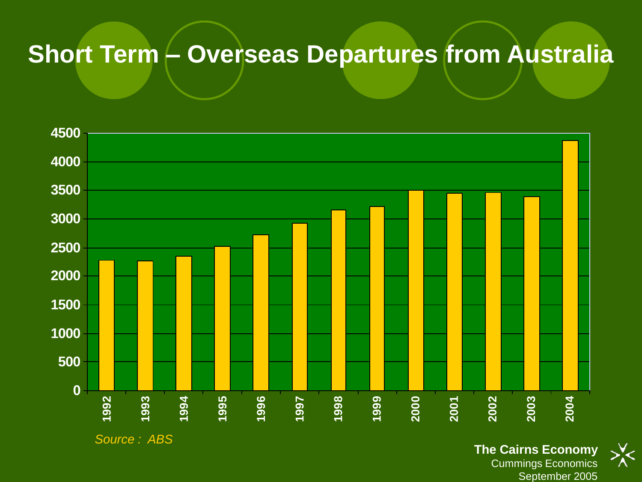#### **Short Term – Overseas Departures from Australia**

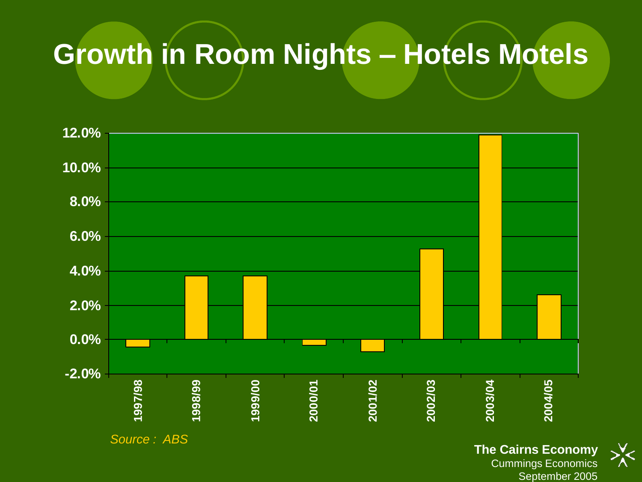#### **Growth in Room Nights – Hotels Motels**



Cummings Economics September 2005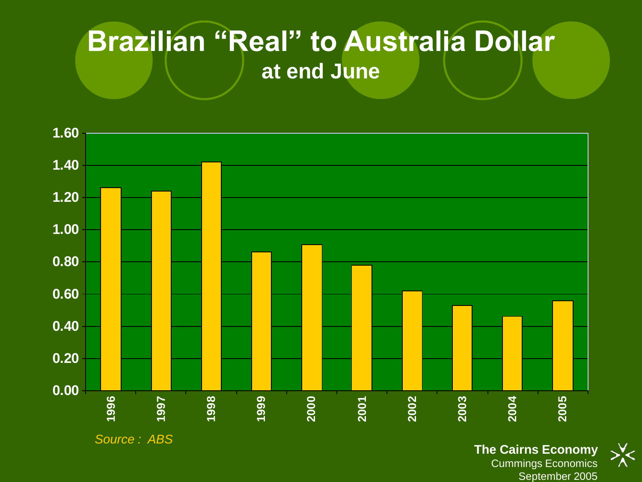#### **Brazilian "Real" to Australia Dollar at end June**

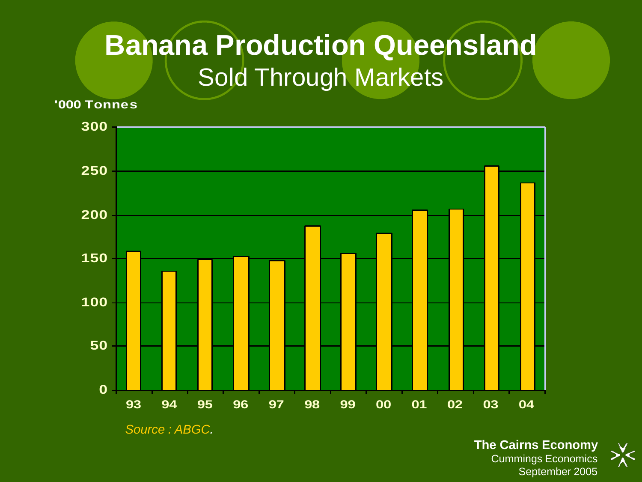#### **Banana Production Queensland** Sold Through Markets

**'000 Tonnes**



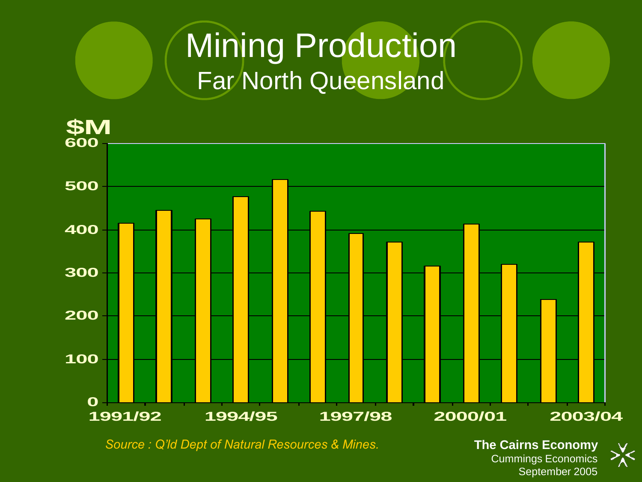#### **Mining Production** Far North Queensland



Cummings Economics September 2005

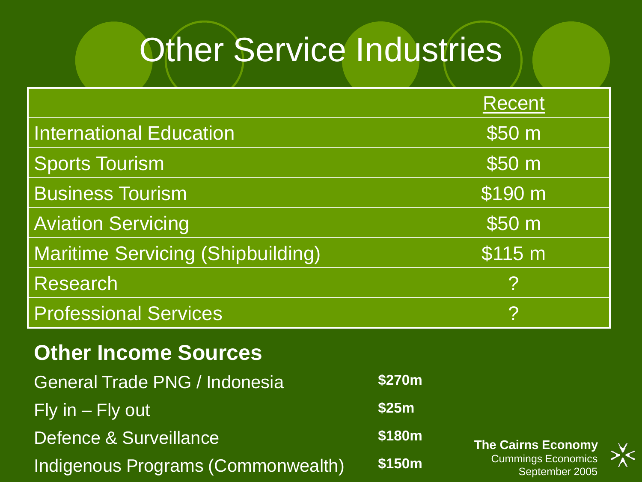#### Other Service Industries

|                                          | Recent            |
|------------------------------------------|-------------------|
| <b>International Education</b>           | \$50 <sub>m</sub> |
| <b>Sports Tourism</b>                    | \$50 m            |
| <b>Business Tourism</b>                  | \$190 m           |
| <b>Aviation Servicing</b>                | \$50 <sub>m</sub> |
| <b>Maritime Servicing (Shipbuilding)</b> | \$115 m           |
| Research                                 | <u>?</u>          |
| <b>Professional Services</b>             | ?                 |
| <b>Other Income Sources</b>              |                   |
| <b>General Trade PNG / Indonesia</b>     | <b>\$270m</b>     |

 $\mathsf{Fly}\nolimits$  in  $\mathsf{\neg}$  Fly out **\$25m** Defence & Surveillance **\$180m** Indigenous Programs (Commonwealth) **\$150m**

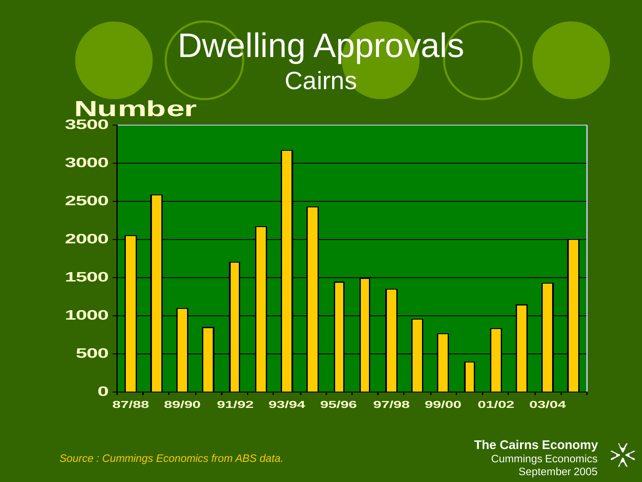#### Dwelling Approvals **Cairns**



*Source : Cummings Economics from ABS data.*

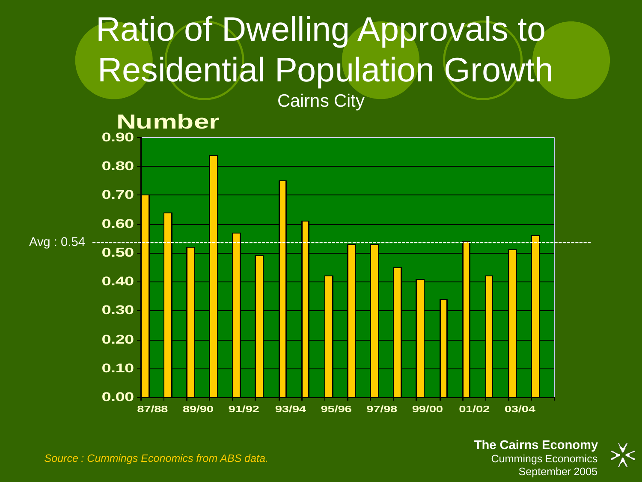#### Ratio of Dwelling Approvals to Residential Population Growth



*Source : Cummings Economics from ABS data.*

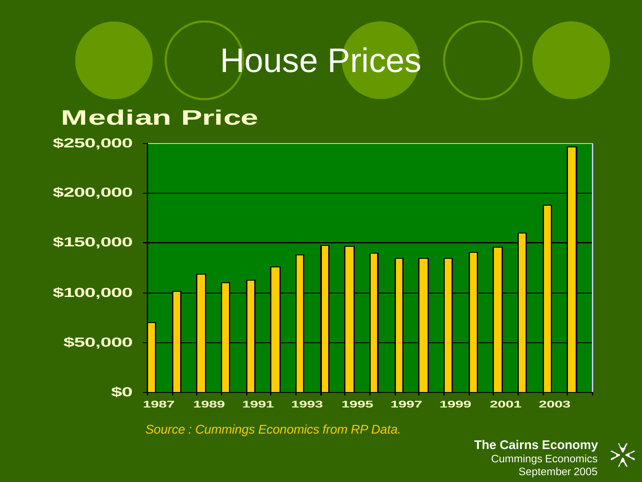#### House Prices

#### **Median Price**



*Source : Cummings Economics from RP Data.*

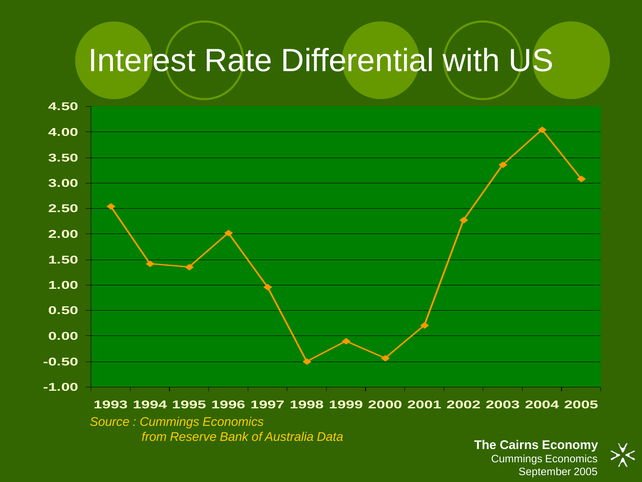#### Interest Rate Differential with US

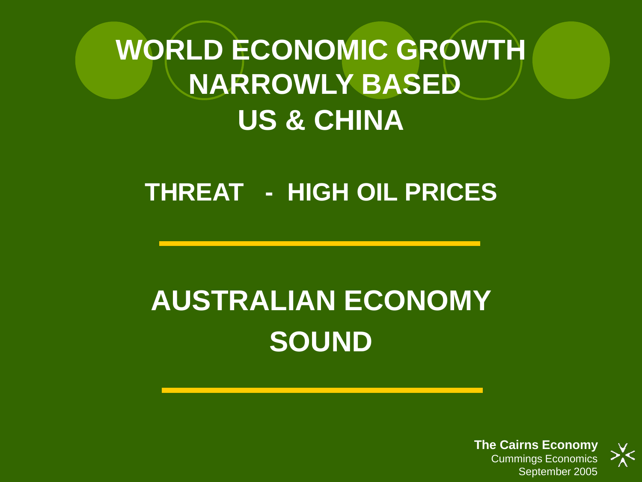#### **WORLD ECONOMIC GROWTH NARROWLY BASED US & CHINA**

#### **THREAT - HIGH OIL PRICES**

#### **AUSTRALIAN ECONOMY SOUND**